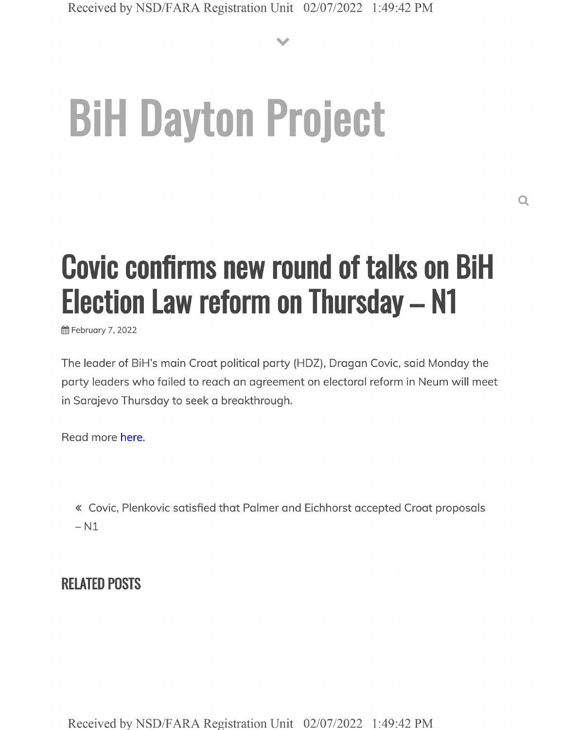**V**

## **BiH Dayton Project**

## **Covic confirms new round of talks on BiH Election Law reform on Thursday - N1**

**6** February 7, 2022

The leader of BiH's main Croat political party (HDZ), Dragan Covic, said Monday the party leaders who failed to reach an agreement on electoral reform in Neum will meet in Sarajevo Thursday to seek a breakthrough.

Read more here.

« Covic, Plenkovic satisfied that Palmer and Eichhorst accepted Croat proposals  $- N1$ 

## **RELATED POSTS**

Received by NSD/FARA Registration Unit 02/07/2022 1:49:42 PM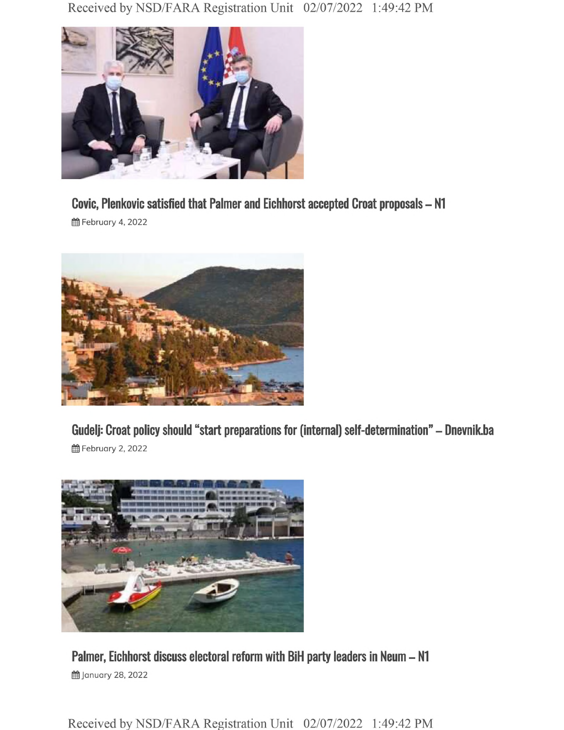Received by NSD/FARA Registration Unit 02/07/2022 1:49:42 PM



**Covic, Plenkovic satisfied that Palmer and Eichhorst accepted Croat proposals - N1**

**前 February 4, 2022** 



**Gudelj: Croat policy should "start preparations for (internal) self-determination" - Dnevnik.ba 曲 February 2, 2022** 



**Palmer, Eichhorst discuss electoral reform with BIH party leaders in Neum - N1 的January 28, 2022** 

Received by NSD/FARA Registration Unit 02/07/2022 1:49:42 PM